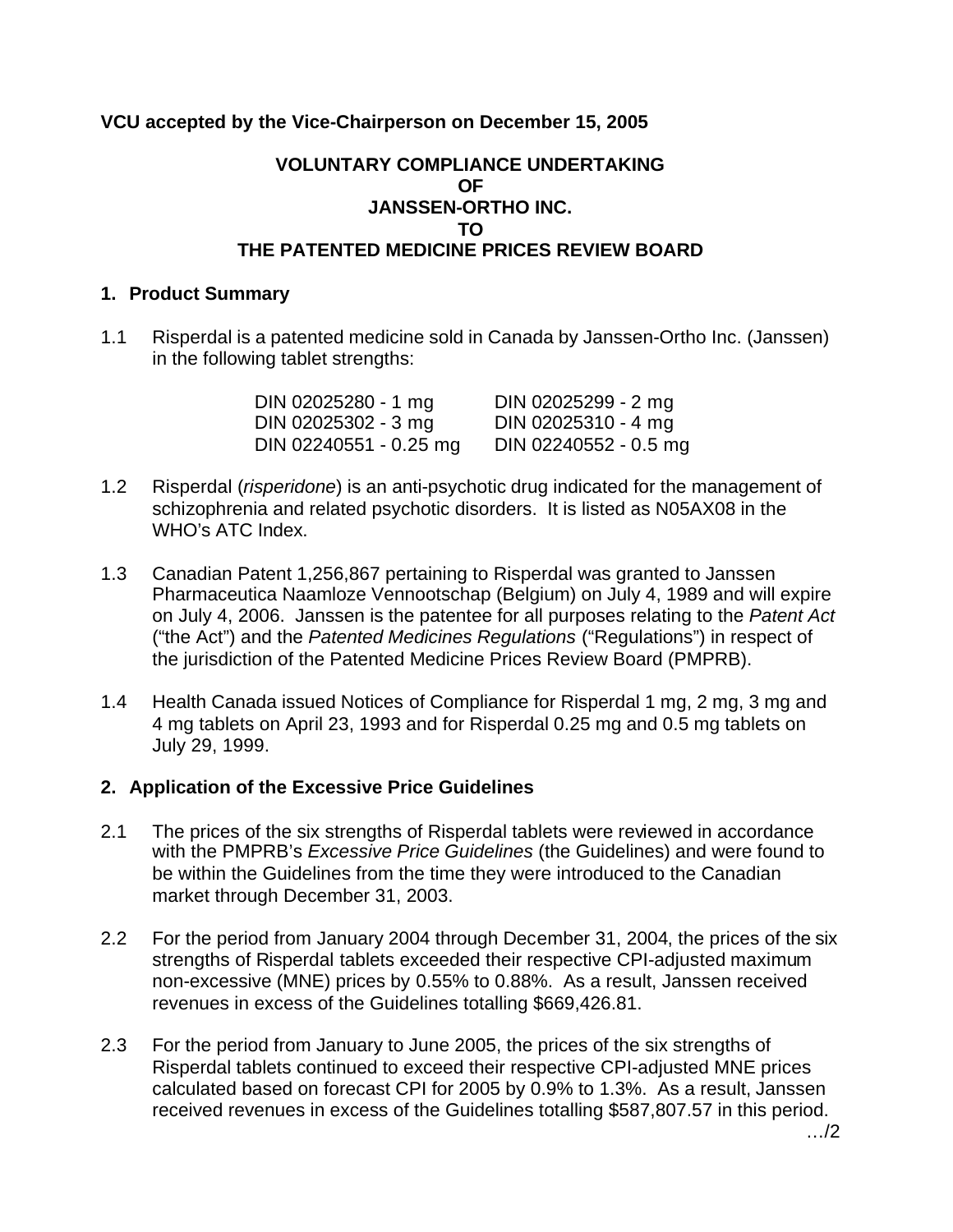# **VCU accepted by the Vice-Chairperson on December 15, 2005**

## **VOLUNTARY COMPLIANCE UNDERTAKING OF JANSSEN-ORTHO INC. TO THE PATENTED MEDICINE PRICES REVIEW BOARD**

### **1. Product Summary**

1.1 Risperdal is a patented medicine sold in Canada by Janssen-Ortho Inc. (Janssen) in the following tablet strengths:

| DIN 02025280 - 1 mg    | DIN 02025299 - 2 mg   |
|------------------------|-----------------------|
| DIN 02025302 - 3 mg    | DIN 02025310 - 4 mg   |
| DIN 02240551 - 0.25 mg | DIN 02240552 - 0.5 mg |

- 1.2 Risperdal (*risperidone*) is an anti-psychotic drug indicated for the management of schizophrenia and related psychotic disorders. It is listed as N05AX08 in the WHO's ATC Index.
- 1.3 Canadian Patent 1,256,867 pertaining to Risperdal was granted to Janssen Pharmaceutica Naamloze Vennootschap (Belgium) on July 4, 1989 and will expire on July 4, 2006. Janssen is the patentee for all purposes relating to the *Patent Act*  ("the Act") and the *Patented Medicines Regulations* ("Regulations") in respect of the jurisdiction of the Patented Medicine Prices Review Board (PMPRB).
- 1.4 Health Canada issued Notices of Compliance for Risperdal 1 mg, 2 mg, 3 mg and 4 mg tablets on April 23, 1993 and for Risperdal 0.25 mg and 0.5 mg tablets on July 29, 1999.

## **2. Application of the Excessive Price Guidelines**

- 2.1 The prices of the six strengths of Risperdal tablets were reviewed in accordance with the PMPRB's *Excessive Price Guidelines* (the Guidelines) and were found to be within the Guidelines from the time they were introduced to the Canadian market through December 31, 2003.
- 2.2 For the period from January 2004 through December 31, 2004, the prices of the six strengths of Risperdal tablets exceeded their respective CPI-adjusted maximum non-excessive (MNE) prices by 0.55% to 0.88%. As a result, Janssen received revenues in excess of the Guidelines totalling \$669,426.81.
- 2.3 For the period from January to June 2005, the prices of the six strengths of Risperdal tablets continued to exceed their respective CPI-adjusted MNE prices calculated based on forecast CPI for 2005 by 0.9% to 1.3%. As a result, Janssen received revenues in excess of the Guidelines totalling \$587,807.57 in this period.